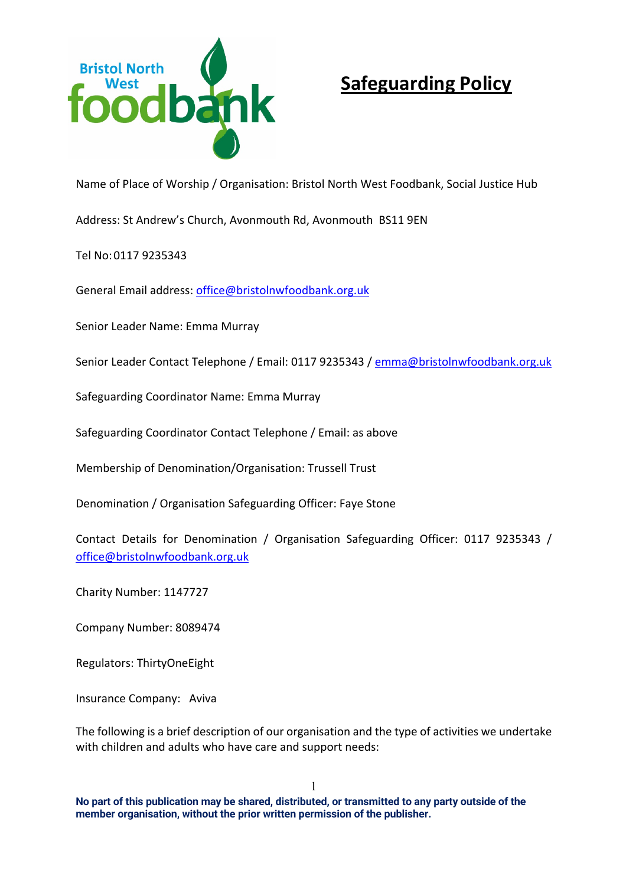

# **Safeguarding Policy**

Name of Place of Worship / Organisation: Bristol North West Foodbank, Social Justice Hub

Address: St Andrew's Church, Avonmouth Rd, Avonmouth BS11 9EN

Tel No:0117 9235343

General Email address: office@bristolnwfoodbank.org.uk

Senior Leader Name: Emma Murray

Senior Leader Contact Telephone / Email: 0117 9235343 / emma@bristolnwfoodbank.org.uk

Safeguarding Coordinator Name: Emma Murray

Safeguarding Coordinator Contact Telephone / Email: as above

Membership of Denomination/Organisation: Trussell Trust

Denomination / Organisation Safeguarding Officer: Faye Stone

Contact Details for Denomination / Organisation Safeguarding Officer: 0117 9235343 / office@bristolnwfoodbank.org.uk

Charity Number: 1147727

Company Number: 8089474

Regulators: ThirtyOneEight

Insurance Company: Aviva

The following is a brief description of our organisation and the type of activities we undertake with children and adults who have care and support needs:

**No part of this publication may be shared, distributed, or transmitted to any party outside of the member organisation, without the prior written permission of the publisher.**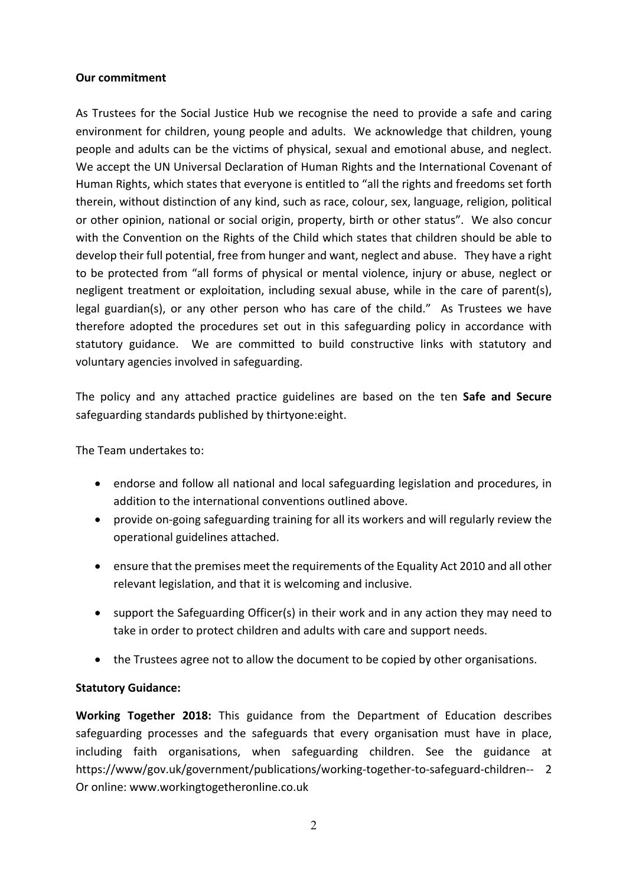#### **Our commitment**

As Trustees for the Social Justice Hub we recognise the need to provide a safe and caring environment for children, young people and adults. We acknowledge that children, young people and adults can be the victims of physical, sexual and emotional abuse, and neglect. We accept the UN Universal Declaration of Human Rights and the International Covenant of Human Rights, which states that everyone is entitled to "all the rights and freedoms set forth therein, without distinction of any kind, such as race, colour, sex, language, religion, political or other opinion, national or social origin, property, birth or other status". We also concur with the Convention on the Rights of the Child which states that children should be able to develop their full potential, free from hunger and want, neglect and abuse. They have a right to be protected from "all forms of physical or mental violence, injury or abuse, neglect or negligent treatment or exploitation, including sexual abuse, while in the care of parent(s), legal guardian(s), or any other person who has care of the child." As Trustees we have therefore adopted the procedures set out in this safeguarding policy in accordance with statutory guidance. We are committed to build constructive links with statutory and voluntary agencies involved in safeguarding.

The policy and any attached practice guidelines are based on the ten **Safe and Secure** safeguarding standards published by thirtyone:eight.

The Team undertakes to:

- endorse and follow all national and local safeguarding legislation and procedures, in addition to the international conventions outlined above.
- provide on-going safeguarding training for all its workers and will regularly review the operational guidelines attached.
- ensure that the premises meet the requirements of the Equality Act 2010 and all other relevant legislation, and that it is welcoming and inclusive.
- support the Safeguarding Officer(s) in their work and in any action they may need to take in order to protect children and adults with care and support needs.
- the Trustees agree not to allow the document to be copied by other organisations.

#### **Statutory Guidance:**

**Working Together 2018:** This guidance from the Department of Education describes safeguarding processes and the safeguards that every organisation must have in place, including faith organisations, when safeguarding children. See the guidance at https://www/gov.uk/government/publications/working-together-to-safeguard-children-- 2 Or online: www.workingtogetheronline.co.uk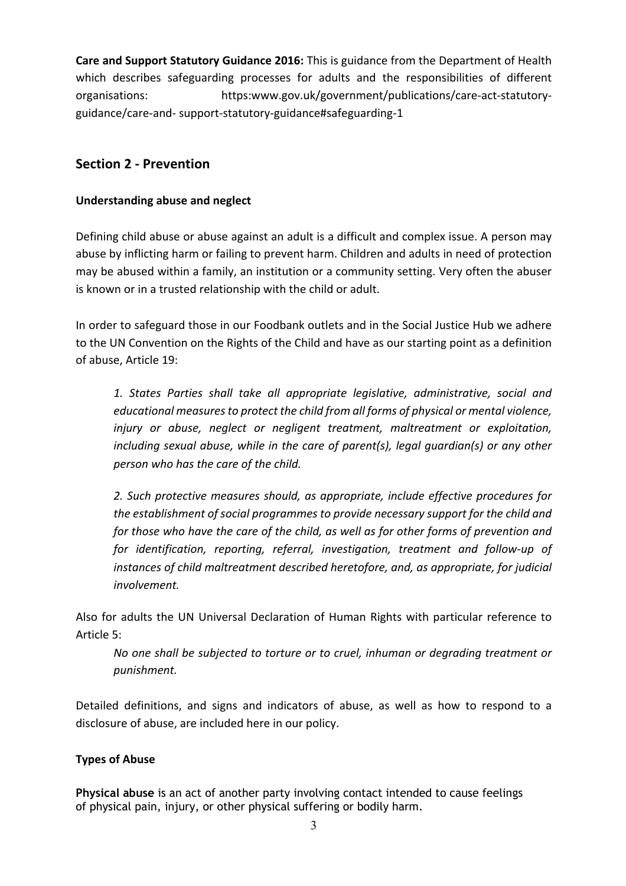**Care and Support Statutory Guidance 2016:** This is guidance from the Department of Health which describes safeguarding processes for adults and the responsibilities of different organisations: https:www.gov.uk/government/publications/care-act-statutoryguidance/care-and- support-statutory-guidance#safeguarding-1

# **Section 2 - Prevention**

#### **Understanding abuse and neglect**

Defining child abuse or abuse against an adult is a difficult and complex issue. A person may abuse by inflicting harm or failing to prevent harm. Children and adults in need of protection may be abused within a family, an institution or a community setting. Very often the abuser is known or in a trusted relationship with the child or adult.

In order to safeguard those in our Foodbank outlets and in the Social Justice Hub we adhere to the UN Convention on the Rights of the Child and have as our starting point as a definition of abuse, Article 19:

*1. States Parties shall take all appropriate legislative, administrative, social and educational measures to protect the child from all forms of physical or mental violence, injury or abuse, neglect or negligent treatment, maltreatment or exploitation, including sexual abuse, while in the care of parent(s), legal guardian(s) or any other person who has the care of the child.* 

*2. Such protective measures should, as appropriate, include effective procedures for the establishment of social programmes to provide necessary support for the child and for those who have the care of the child, as well as for other forms of prevention and for identification, reporting, referral, investigation, treatment and follow-up of instances of child maltreatment described heretofore, and, as appropriate, for judicial involvement.* 

Also for adults the UN Universal Declaration of Human Rights with particular reference to Article 5:

*No one shall be subjected to torture or to cruel, inhuman or degrading treatment or punishment.*

Detailed definitions, and signs and indicators of abuse, as well as how to respond to a disclosure of abuse, are included here in our policy.

#### **Types of Abuse**

**Physical abuse** is an act of another party involving contact intended to cause feelings of physical pain, injury, or other physical suffering or bodily harm.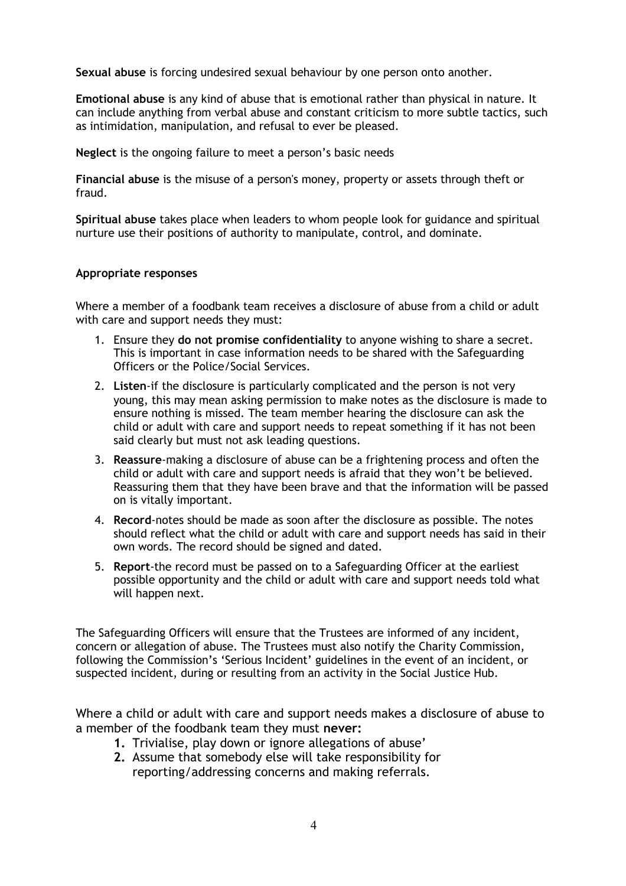**Sexual abuse** is forcing undesired sexual behaviour by one person onto another.

**Emotional abuse** is any kind of abuse that is emotional rather than physical in nature. It can include anything from verbal abuse and constant criticism to more subtle tactics, such as intimidation, manipulation, and refusal to ever be pleased.

**Neglect** is the ongoing failure to meet a person's basic needs

**Financial abuse** is the misuse of a person's money, property or assets through theft or fraud.

**Spiritual abuse** takes place when leaders to whom people look for guidance and spiritual nurture use their positions of authority to manipulate, control, and dominate.

#### **Appropriate responses**

Where a member of a foodbank team receives a disclosure of abuse from a child or adult with care and support needs they must:

- 1. Ensure they **do not promise confidentiality** to anyone wishing to share a secret. This is important in case information needs to be shared with the Safeguarding Officers or the Police/Social Services.
- 2. **Listen**-if the disclosure is particularly complicated and the person is not very young, this may mean asking permission to make notes as the disclosure is made to ensure nothing is missed. The team member hearing the disclosure can ask the child or adult with care and support needs to repeat something if it has not been said clearly but must not ask leading questions.
- 3. **Reassure**-making a disclosure of abuse can be a frightening process and often the child or adult with care and support needs is afraid that they won't be believed. Reassuring them that they have been brave and that the information will be passed on is vitally important.
- 4. **Record**-notes should be made as soon after the disclosure as possible. The notes should reflect what the child or adult with care and support needs has said in their own words. The record should be signed and dated.
- 5. **Report**-the record must be passed on to a Safeguarding Officer at the earliest possible opportunity and the child or adult with care and support needs told what will happen next.

The Safeguarding Officers will ensure that the Trustees are informed of any incident, concern or allegation of abuse. The Trustees must also notify the Charity Commission, following the Commission's 'Serious Incident' guidelines in the event of an incident, or suspected incident, during or resulting from an activity in the Social Justice Hub.

Where a child or adult with care and support needs makes a disclosure of abuse to a member of the foodbank team they must **never:**

- **1.** Trivialise, play down or ignore allegations of abuse'
- **2.** Assume that somebody else will take responsibility for reporting/addressing concerns and making referrals.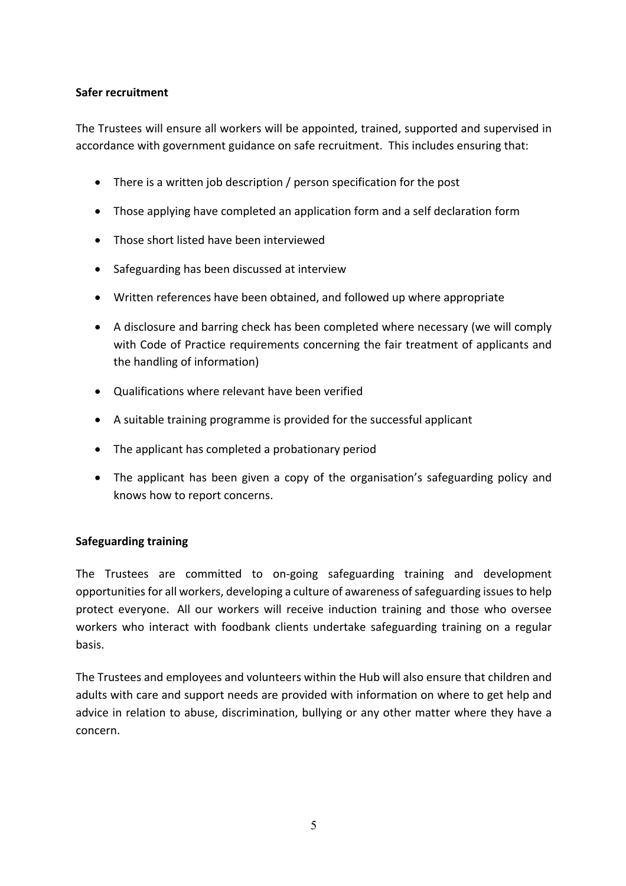#### **Safer recruitment**

The Trustees will ensure all workers will be appointed, trained, supported and supervised in accordance with government guidance on safe recruitment. This includes ensuring that:

- There is a written job description / person specification for the post
- Those applying have completed an application form and a self declaration form
- Those short listed have been interviewed
- Safeguarding has been discussed at interview
- Written references have been obtained, and followed up where appropriate
- A disclosure and barring check has been completed where necessary (we will comply with Code of Practice requirements concerning the fair treatment of applicants and the handling of information)
- Qualifications where relevant have been verified
- A suitable training programme is provided for the successful applicant
- The applicant has completed a probationary period
- The applicant has been given a copy of the organisation's safeguarding policy and knows how to report concerns.

#### **Safeguarding training**

The Trustees are committed to on-going safeguarding training and development opportunities for all workers, developing a culture of awareness of safeguarding issues to help protect everyone. All our workers will receive induction training and those who oversee workers who interact with foodbank clients undertake safeguarding training on a regular basis.

The Trustees and employees and volunteers within the Hub will also ensure that children and adults with care and support needs are provided with information on where to get help and advice in relation to abuse, discrimination, bullying or any other matter where they have a concern.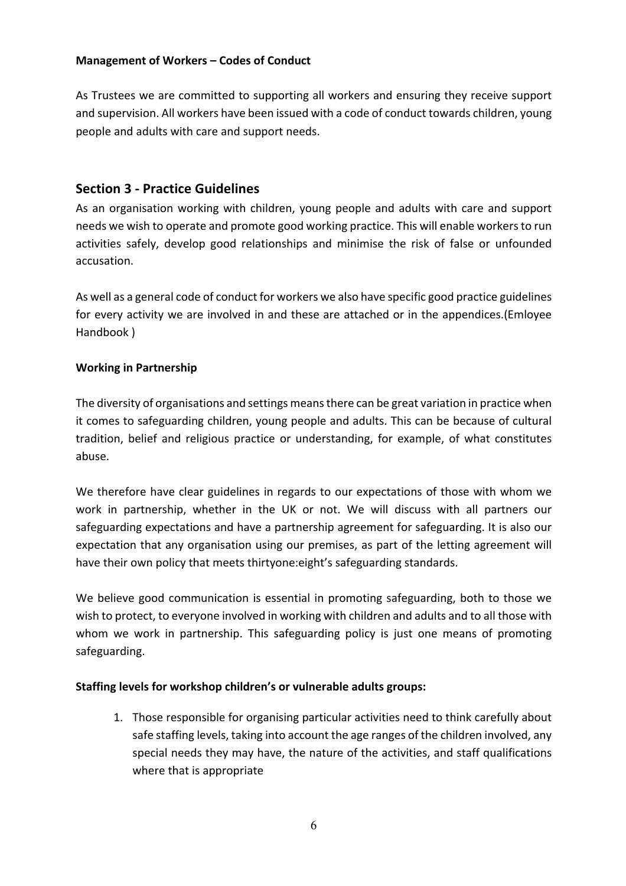#### **Management of Workers – Codes of Conduct**

As Trustees we are committed to supporting all workers and ensuring they receive support and supervision. All workers have been issued with a code of conduct towards children, young people and adults with care and support needs.

### **Section 3 - Practice Guidelines**

As an organisation working with children, young people and adults with care and support needs we wish to operate and promote good working practice. This will enable workers to run activities safely, develop good relationships and minimise the risk of false or unfounded accusation.

As well as a general code of conduct for workers we also have specific good practice guidelines for every activity we are involved in and these are attached or in the appendices.(Emloyee Handbook )

#### **Working in Partnership**

The diversity of organisations and settings means there can be great variation in practice when it comes to safeguarding children, young people and adults. This can be because of cultural tradition, belief and religious practice or understanding, for example, of what constitutes abuse.

We therefore have clear guidelines in regards to our expectations of those with whom we work in partnership, whether in the UK or not. We will discuss with all partners our safeguarding expectations and have a partnership agreement for safeguarding. It is also our expectation that any organisation using our premises, as part of the letting agreement will have their own policy that meets thirtyone:eight's safeguarding standards.

We believe good communication is essential in promoting safeguarding, both to those we wish to protect, to everyone involved in working with children and adults and to all those with whom we work in partnership. This safeguarding policy is just one means of promoting safeguarding.

#### **Staffing levels for workshop children's or vulnerable adults groups:**

1. Those responsible for organising particular activities need to think carefully about safe staffing levels, taking into account the age ranges of the children involved, any special needs they may have, the nature of the activities, and staff qualifications where that is appropriate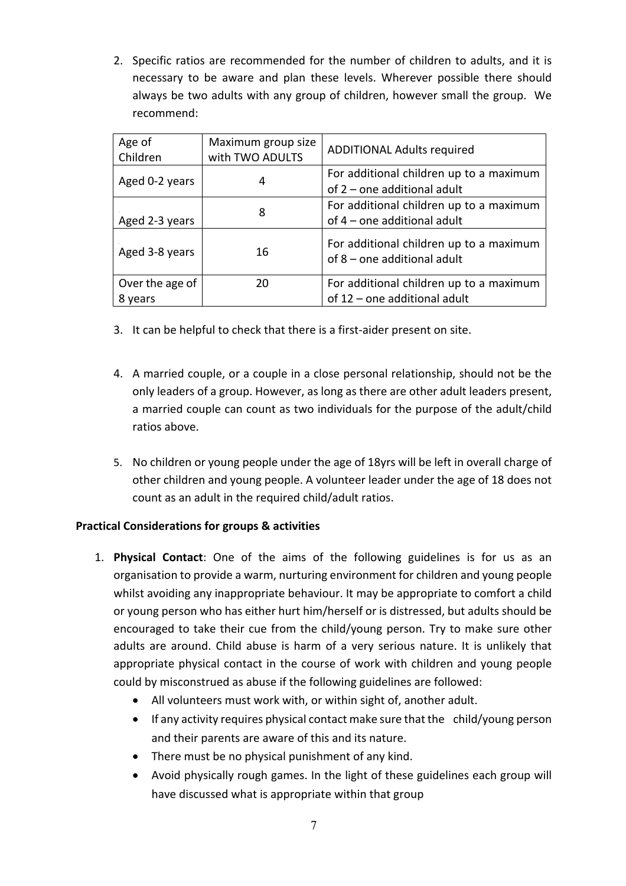2. Specific ratios are recommended for the number of children to adults, and it is necessary to be aware and plan these levels. Wherever possible there should always be two adults with any group of children, however small the group. We recommend:

| Age of<br>Children         | Maximum group size<br>with TWO ADULTS | <b>ADDITIONAL Adults required</b>                                       |
|----------------------------|---------------------------------------|-------------------------------------------------------------------------|
| Aged 0-2 years             |                                       | For additional children up to a maximum<br>of 2 – one additional adult  |
| Aged 2-3 years             | 8                                     | For additional children up to a maximum<br>of 4 - one additional adult  |
| Aged 3-8 years             | 16                                    | For additional children up to a maximum<br>of 8 - one additional adult  |
| Over the age of<br>8 years | 20                                    | For additional children up to a maximum<br>of 12 - one additional adult |

- 3. It can be helpful to check that there is a first-aider present on site.
- 4. A married couple, or a couple in a close personal relationship, should not be the only leaders of a group. However, as long as there are other adult leaders present, a married couple can count as two individuals for the purpose of the adult/child ratios above.
- 5. No children or young people under the age of 18yrs will be left in overall charge of other children and young people. A volunteer leader under the age of 18 does not count as an adult in the required child/adult ratios.

#### **Practical Considerations for groups & activities**

- 1. **Physical Contact**: One of the aims of the following guidelines is for us as an organisation to provide a warm, nurturing environment for children and young people whilst avoiding any inappropriate behaviour. It may be appropriate to comfort a child or young person who has either hurt him/herself or is distressed, but adults should be encouraged to take their cue from the child/young person. Try to make sure other adults are around. Child abuse is harm of a very serious nature. It is unlikely that appropriate physical contact in the course of work with children and young people could by misconstrued as abuse if the following guidelines are followed:
	- All volunteers must work with, or within sight of, another adult.
	- If any activity requires physical contact make sure that the child/young person and their parents are aware of this and its nature.
	- There must be no physical punishment of any kind.
	- Avoid physically rough games. In the light of these guidelines each group will have discussed what is appropriate within that group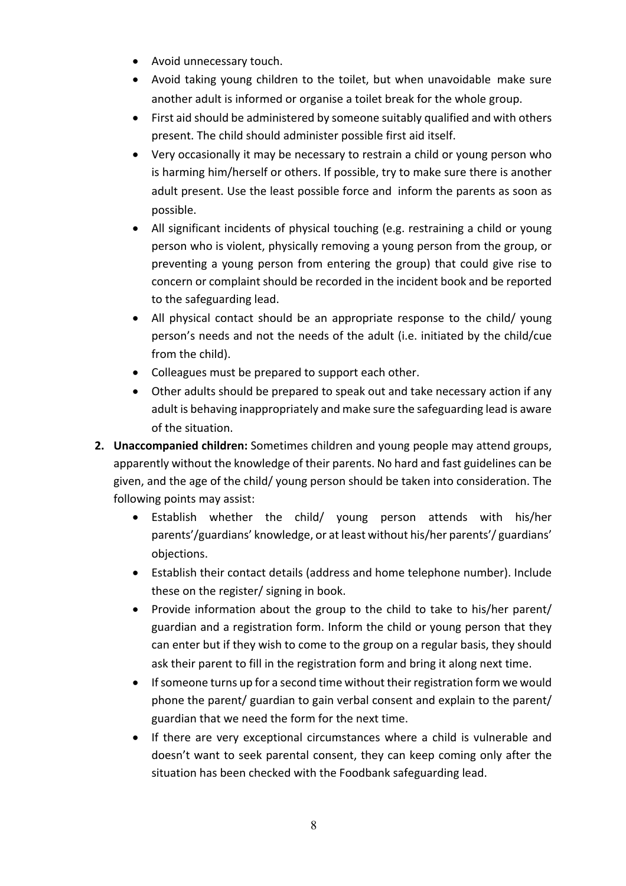- Avoid unnecessary touch.
- Avoid taking young children to the toilet, but when unavoidable make sure another adult is informed or organise a toilet break for the whole group.
- First aid should be administered by someone suitably qualified and with others present. The child should administer possible first aid itself.
- Very occasionally it may be necessary to restrain a child or young person who is harming him/herself or others. If possible, try to make sure there is another adult present. Use the least possible force and inform the parents as soon as possible.
- All significant incidents of physical touching (e.g. restraining a child or young person who is violent, physically removing a young person from the group, or preventing a young person from entering the group) that could give rise to concern or complaint should be recorded in the incident book and be reported to the safeguarding lead.
- All physical contact should be an appropriate response to the child/ young person's needs and not the needs of the adult (i.e. initiated by the child/cue from the child).
- Colleagues must be prepared to support each other.
- Other adults should be prepared to speak out and take necessary action if any adult is behaving inappropriately and make sure the safeguarding lead is aware of the situation.
- **2. Unaccompanied children:** Sometimes children and young people may attend groups, apparently without the knowledge of their parents. No hard and fast guidelines can be given, and the age of the child/ young person should be taken into consideration. The following points may assist:
	- Establish whether the child/ young person attends with his/her parents'/guardians' knowledge, or at least without his/her parents'/ guardians' objections.
	- Establish their contact details (address and home telephone number). Include these on the register/ signing in book.
	- Provide information about the group to the child to take to his/her parent/ guardian and a registration form. Inform the child or young person that they can enter but if they wish to come to the group on a regular basis, they should ask their parent to fill in the registration form and bring it along next time.
	- If someone turns up for a second time without their registration form we would phone the parent/ guardian to gain verbal consent and explain to the parent/ guardian that we need the form for the next time.
	- If there are very exceptional circumstances where a child is vulnerable and doesn't want to seek parental consent, they can keep coming only after the situation has been checked with the Foodbank safeguarding lead.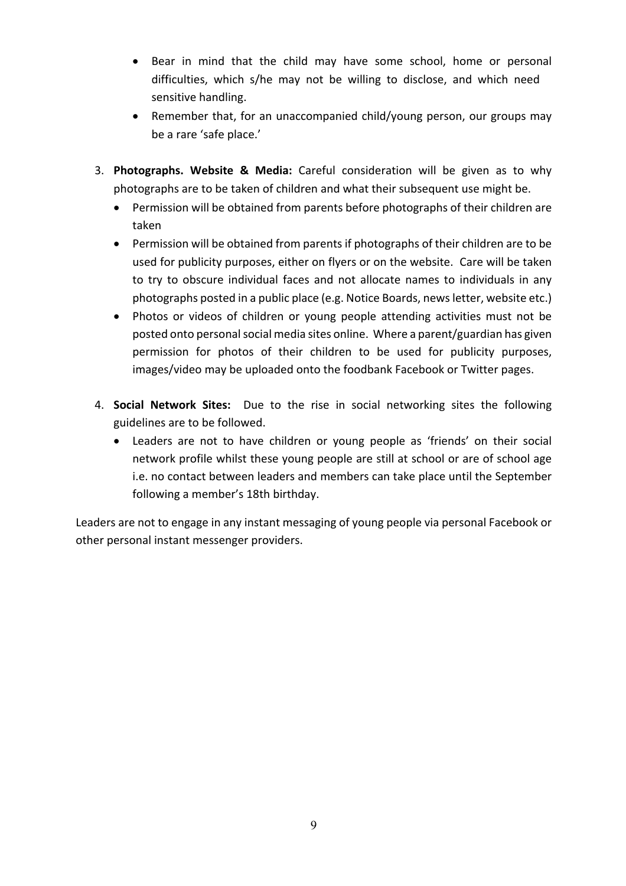- Bear in mind that the child may have some school, home or personal difficulties, which s/he may not be willing to disclose, and which need sensitive handling.
- Remember that, for an unaccompanied child/young person, our groups may be a rare 'safe place.'
- 3. **Photographs. Website & Media:** Careful consideration will be given as to why photographs are to be taken of children and what their subsequent use might be.
	- Permission will be obtained from parents before photographs of their children are taken
	- Permission will be obtained from parents if photographs of their children are to be used for publicity purposes, either on flyers or on the website. Care will be taken to try to obscure individual faces and not allocate names to individuals in any photographs posted in a public place (e.g. Notice Boards, news letter, website etc.)
	- Photos or videos of children or young people attending activities must not be posted onto personal social media sites online. Where a parent/guardian has given permission for photos of their children to be used for publicity purposes, images/video may be uploaded onto the foodbank Facebook or Twitter pages.
- 4. **Social Network Sites:** Due to the rise in social networking sites the following guidelines are to be followed.
	- Leaders are not to have children or young people as 'friends' on their social network profile whilst these young people are still at school or are of school age i.e. no contact between leaders and members can take place until the September following a member's 18th birthday.

Leaders are not to engage in any instant messaging of young people via personal Facebook or other personal instant messenger providers.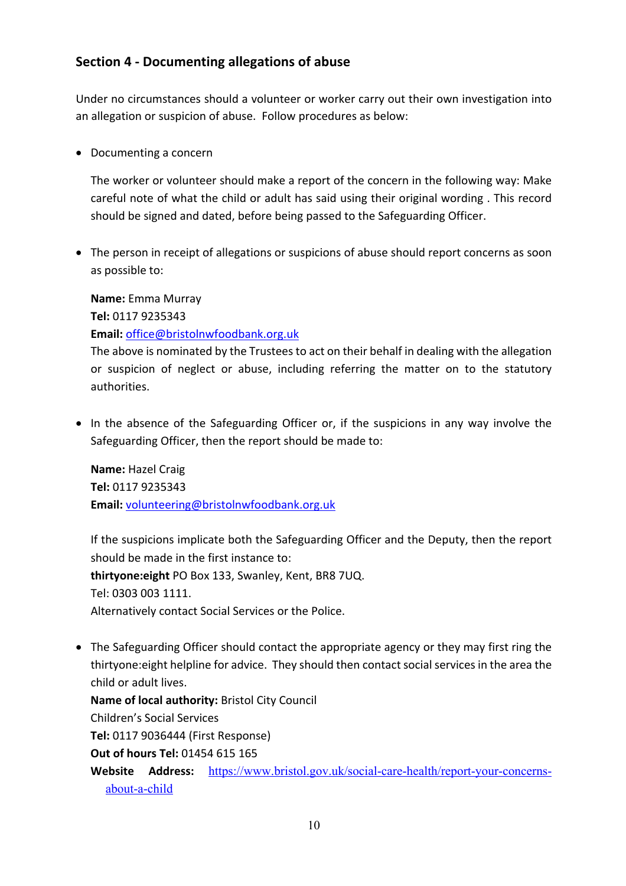# **Section 4 - Documenting allegations of abuse**

Under no circumstances should a volunteer or worker carry out their own investigation into an allegation or suspicion of abuse. Follow procedures as below:

• Documenting a concern

The worker or volunteer should make a report of the concern in the following way: Make careful note of what the child or adult has said using their original wording . This record should be signed and dated, before being passed to the Safeguarding Officer.

• The person in receipt of allegations or suspicions of abuse should report concerns as soon as possible to:

**Name:** Emma Murray **Tel:** 0117 9235343 **Email:** office@bristolnwfoodbank.org.uk

The above is nominated by the Trustees to act on their behalf in dealing with the allegation or suspicion of neglect or abuse, including referring the matter on to the statutory authorities.

• In the absence of the Safeguarding Officer or, if the suspicions in any way involve the Safeguarding Officer, then the report should be made to:

**Name:** Hazel Craig **Tel:** 0117 9235343 **Email:** volunteering@bristolnwfoodbank.org.uk

If the suspicions implicate both the Safeguarding Officer and the Deputy, then the report should be made in the first instance to: **thirtyone:eight** PO Box 133, Swanley, Kent, BR8 7UQ. Tel: 0303 003 1111. Alternatively contact Social Services or the Police.

• The Safeguarding Officer should contact the appropriate agency or they may first ring the thirtyone:eight helpline for advice. They should then contact social services in the area the child or adult lives.

**Name of local authority:** Bristol City Council Children's Social Services **Tel:** 0117 9036444 (First Response) **Out of hours Tel:** 01454 615 165 **Website Address:** https://www.bristol.gov.uk/social-care-health/report-your-concernsabout-a-child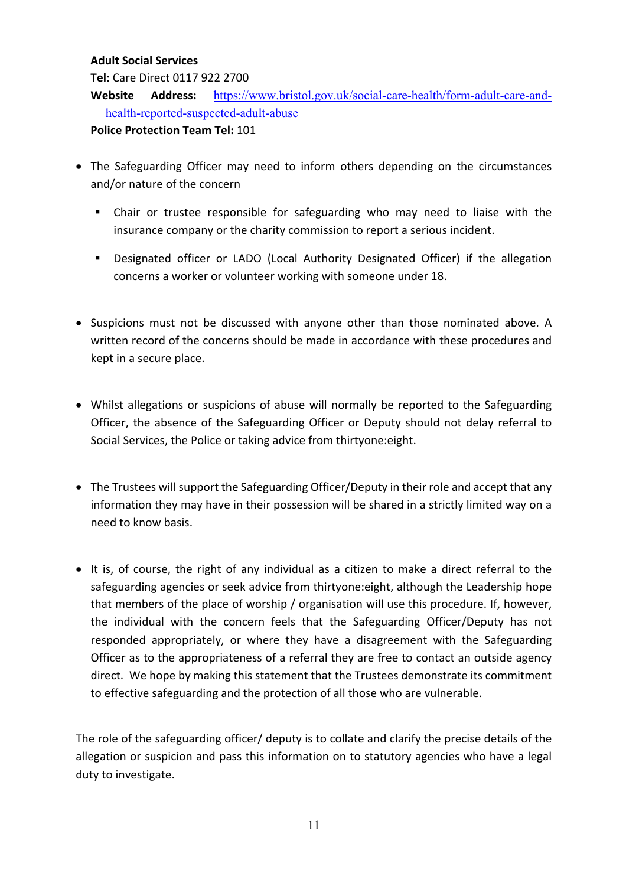#### **Adult Social Services**

**Tel:** Care Direct 0117 922 2700

**Website Address:** https://www.bristol.gov.uk/social-care-health/form-adult-care-andhealth-reported-suspected-adult-abuse

**Police Protection Team Tel:** 101

- The Safeguarding Officer may need to inform others depending on the circumstances and/or nature of the concern
	- Chair or trustee responsible for safeguarding who may need to liaise with the insurance company or the charity commission to report a serious incident.
	- § Designated officer or LADO (Local Authority Designated Officer) if the allegation concerns a worker or volunteer working with someone under 18.
- Suspicions must not be discussed with anyone other than those nominated above. A written record of the concerns should be made in accordance with these procedures and kept in a secure place.
- Whilst allegations or suspicions of abuse will normally be reported to the Safeguarding Officer, the absence of the Safeguarding Officer or Deputy should not delay referral to Social Services, the Police or taking advice from thirtyone:eight.
- The Trustees will support the Safeguarding Officer/Deputy in their role and accept that any information they may have in their possession will be shared in a strictly limited way on a need to know basis.
- It is, of course, the right of any individual as a citizen to make a direct referral to the safeguarding agencies or seek advice from thirtyone:eight, although the Leadership hope that members of the place of worship / organisation will use this procedure. If, however, the individual with the concern feels that the Safeguarding Officer/Deputy has not responded appropriately, or where they have a disagreement with the Safeguarding Officer as to the appropriateness of a referral they are free to contact an outside agency direct. We hope by making this statement that the Trustees demonstrate its commitment to effective safeguarding and the protection of all those who are vulnerable.

The role of the safeguarding officer/ deputy is to collate and clarify the precise details of the allegation or suspicion and pass this information on to statutory agencies who have a legal duty to investigate.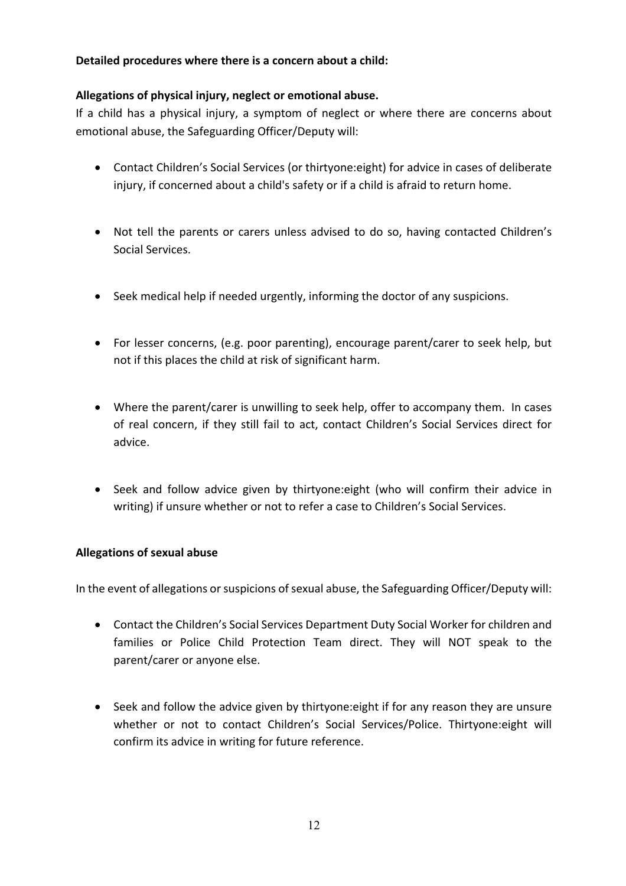#### **Detailed procedures where there is a concern about a child:**

#### **Allegations of physical injury, neglect or emotional abuse.**

If a child has a physical injury, a symptom of neglect or where there are concerns about emotional abuse, the Safeguarding Officer/Deputy will:

- Contact Children's Social Services (or thirtyone:eight) for advice in cases of deliberate injury, if concerned about a child's safety or if a child is afraid to return home.
- Not tell the parents or carers unless advised to do so, having contacted Children's Social Services.
- Seek medical help if needed urgently, informing the doctor of any suspicions.
- For lesser concerns, (e.g. poor parenting), encourage parent/carer to seek help, but not if this places the child at risk of significant harm.
- Where the parent/carer is unwilling to seek help, offer to accompany them. In cases of real concern, if they still fail to act, contact Children's Social Services direct for advice.
- Seek and follow advice given by thirtyone:eight (who will confirm their advice in writing) if unsure whether or not to refer a case to Children's Social Services.

#### **Allegations of sexual abuse**

In the event of allegations or suspicions of sexual abuse, the Safeguarding Officer/Deputy will:

- Contact the Children's Social Services Department Duty Social Worker for children and families or Police Child Protection Team direct. They will NOT speak to the parent/carer or anyone else.
- Seek and follow the advice given by thirtyone:eight if for any reason they are unsure whether or not to contact Children's Social Services/Police. Thirtyone:eight will confirm its advice in writing for future reference.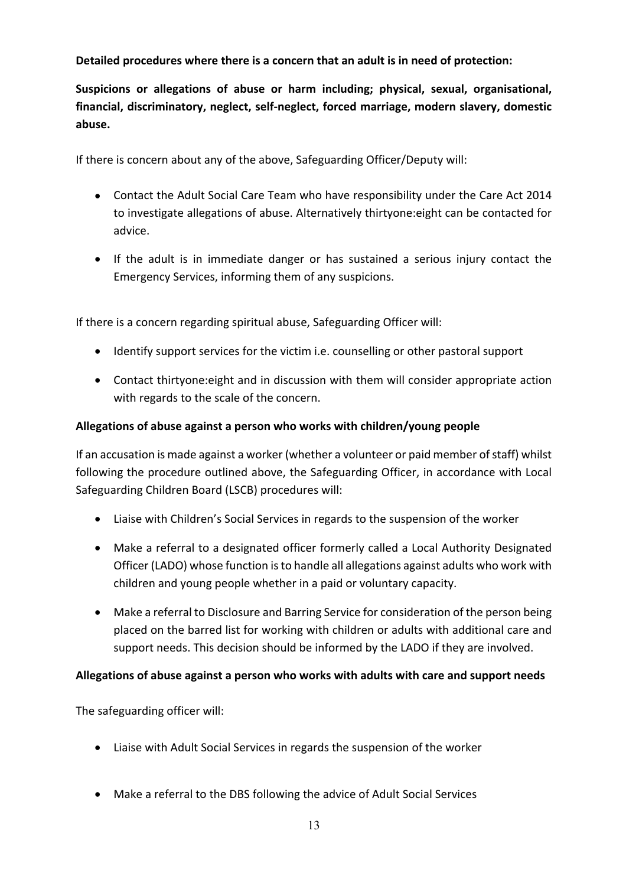**Detailed procedures where there is a concern that an adult is in need of protection:**

**Suspicions or allegations of abuse or harm including; physical, sexual, organisational, financial, discriminatory, neglect, self-neglect, forced marriage, modern slavery, domestic abuse.**

If there is concern about any of the above, Safeguarding Officer/Deputy will:

- Contact the Adult Social Care Team who have responsibility under the Care Act 2014 to investigate allegations of abuse. Alternatively thirtyone:eight can be contacted for advice.
- If the adult is in immediate danger or has sustained a serious injury contact the Emergency Services, informing them of any suspicions.

If there is a concern regarding spiritual abuse, Safeguarding Officer will:

- Identify support services for the victim i.e. counselling or other pastoral support
- Contact thirtyone:eight and in discussion with them will consider appropriate action with regards to the scale of the concern.

#### **Allegations of abuse against a person who works with children/young people**

If an accusation is made against a worker (whether a volunteer or paid member of staff) whilst following the procedure outlined above, the Safeguarding Officer, in accordance with Local Safeguarding Children Board (LSCB) procedures will:

- Liaise with Children's Social Services in regards to the suspension of the worker
- Make a referral to a designated officer formerly called a Local Authority Designated Officer (LADO) whose function is to handle all allegations against adults who work with children and young people whether in a paid or voluntary capacity.
- Make a referral to Disclosure and Barring Service for consideration of the person being placed on the barred list for working with children or adults with additional care and support needs. This decision should be informed by the LADO if they are involved.

#### **Allegations of abuse against a person who works with adults with care and support needs**

The safeguarding officer will:

- Liaise with Adult Social Services in regards the suspension of the worker
- Make a referral to the DBS following the advice of Adult Social Services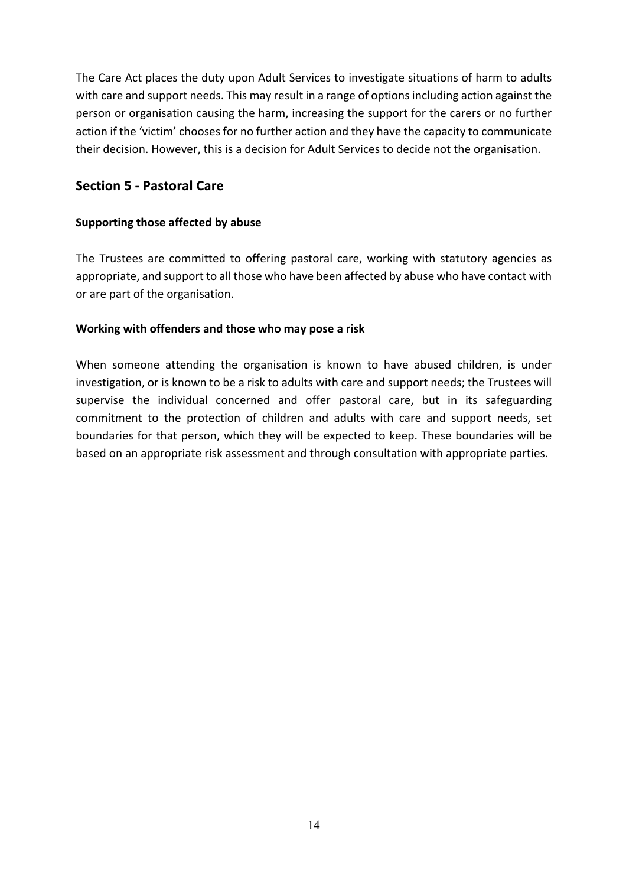The Care Act places the duty upon Adult Services to investigate situations of harm to adults with care and support needs. This may result in a range of options including action against the person or organisation causing the harm, increasing the support for the carers or no further action if the 'victim' chooses for no further action and they have the capacity to communicate their decision. However, this is a decision for Adult Services to decide not the organisation.

# **Section 5 - Pastoral Care**

#### **Supporting those affected by abuse**

The Trustees are committed to offering pastoral care, working with statutory agencies as appropriate, and support to all those who have been affected by abuse who have contact with or are part of the organisation.

#### **Working with offenders and those who may pose a risk**

When someone attending the organisation is known to have abused children, is under investigation, or is known to be a risk to adults with care and support needs; the Trustees will supervise the individual concerned and offer pastoral care, but in its safeguarding commitment to the protection of children and adults with care and support needs, set boundaries for that person, which they will be expected to keep. These boundaries will be based on an appropriate risk assessment and through consultation with appropriate parties.